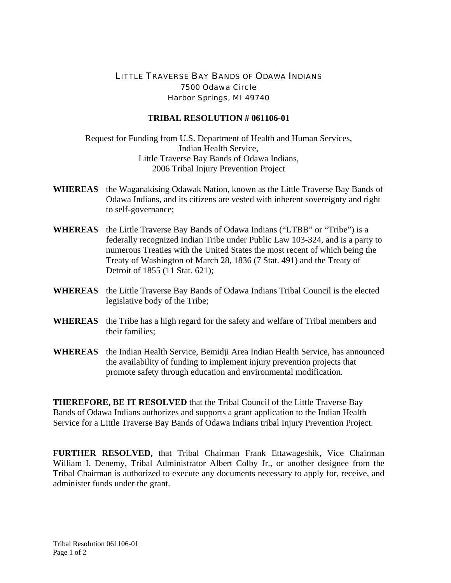## LITTLE TRAVERSE BAY BANDS OF ODAWA INDIANS 7500 Odawa Circle Harbor Springs, MI 49740

## **TRIBAL RESOLUTION # 061106-01**

Request for Funding from U.S. Department of Health and Human Services, Indian Health Service, Little Traverse Bay Bands of Odawa Indians, 2006 Tribal Injury Prevention Project

- **WHEREAS** the Waganakising Odawak Nation, known as the Little Traverse Bay Bands of Odawa Indians, and its citizens are vested with inherent sovereignty and right to self-governance;
- **WHEREAS** the Little Traverse Bay Bands of Odawa Indians ("LTBB" or "Tribe") is a federally recognized Indian Tribe under Public Law 103-324, and is a party to numerous Treaties with the United States the most recent of which being the Treaty of Washington of March 28, 1836 (7 Stat. 491) and the Treaty of Detroit of 1855 (11 Stat. 621);
- **WHEREAS** the Little Traverse Bay Bands of Odawa Indians Tribal Council is the elected legislative body of the Tribe;
- **WHEREAS** the Tribe has a high regard for the safety and welfare of Tribal members and their families;
- **WHEREAS** the Indian Health Service, Bemidji Area Indian Health Service, has announced the availability of funding to implement injury prevention projects that promote safety through education and environmental modification.

**THEREFORE, BE IT RESOLVED** that the Tribal Council of the Little Traverse Bay Bands of Odawa Indians authorizes and supports a grant application to the Indian Health Service for a Little Traverse Bay Bands of Odawa Indians tribal Injury Prevention Project.

**FURTHER RESOLVED,** that Tribal Chairman Frank Ettawageshik, Vice Chairman William I. Denemy, Tribal Administrator Albert Colby Jr., or another designee from the Tribal Chairman is authorized to execute any documents necessary to apply for, receive, and administer funds under the grant.